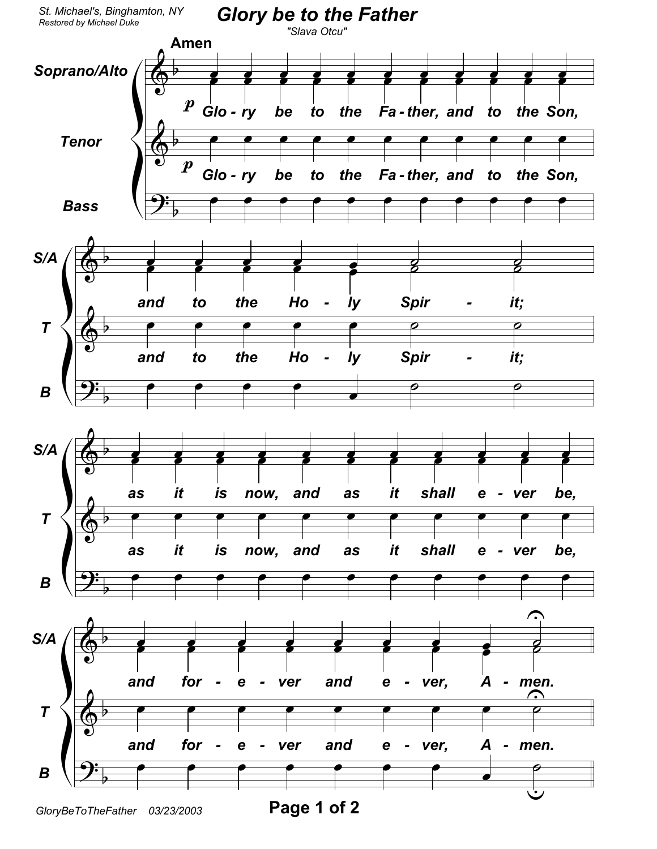

GloryBeToTheFather 03/23/2003

Page 1 of 2